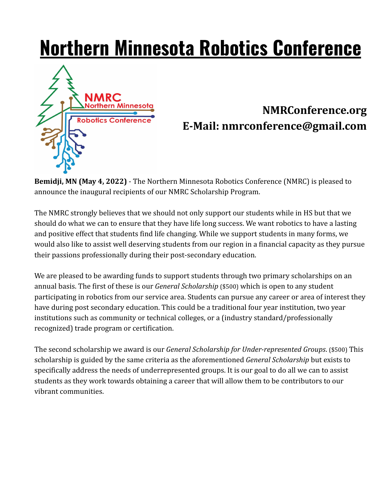## **Northern Minnesota Robotics Conference**



## **NMRConference.org E-Mail: nmrconference@gmail.com**

**Bemidji, MN (May 4, 2022)** - The Northern Minnesota Robotics Conference (NMRC) is pleased to announce the inaugural recipients of our NMRC Scholarship Program.

The NMRC strongly believes that we should not only support our students while in HS but that we should do what we can to ensure that they have life long success. We want robotics to have a lasting and positive effect that students find life changing. While we support students in many forms, we would also like to assist well deserving students from our region in a financial capacity as they pursue their passions professionally during their post-secondary education.

We are pleased to be awarding funds to support students through two primary scholarships on an annual basis. The first of these is our *General Scholarship* (\$500) which is open to any student participating in robotics from our service area. Students can pursue any career or area of interest they have during post secondary education. This could be a traditional four year institution, two year institutions such as community or technical colleges, or a (industry standard/professionally recognized) trade program or certification.

The second scholarship we award is our *General Scholarship for Under-represented Groups*. (\$500) This scholarship is guided by the same criteria as the aforementioned *General Scholarship* but exists to specifically address the needs of underrepresented groups. It is our goal to do all we can to assist students as they work towards obtaining a career that will allow them to be contributors to our vibrant communities.